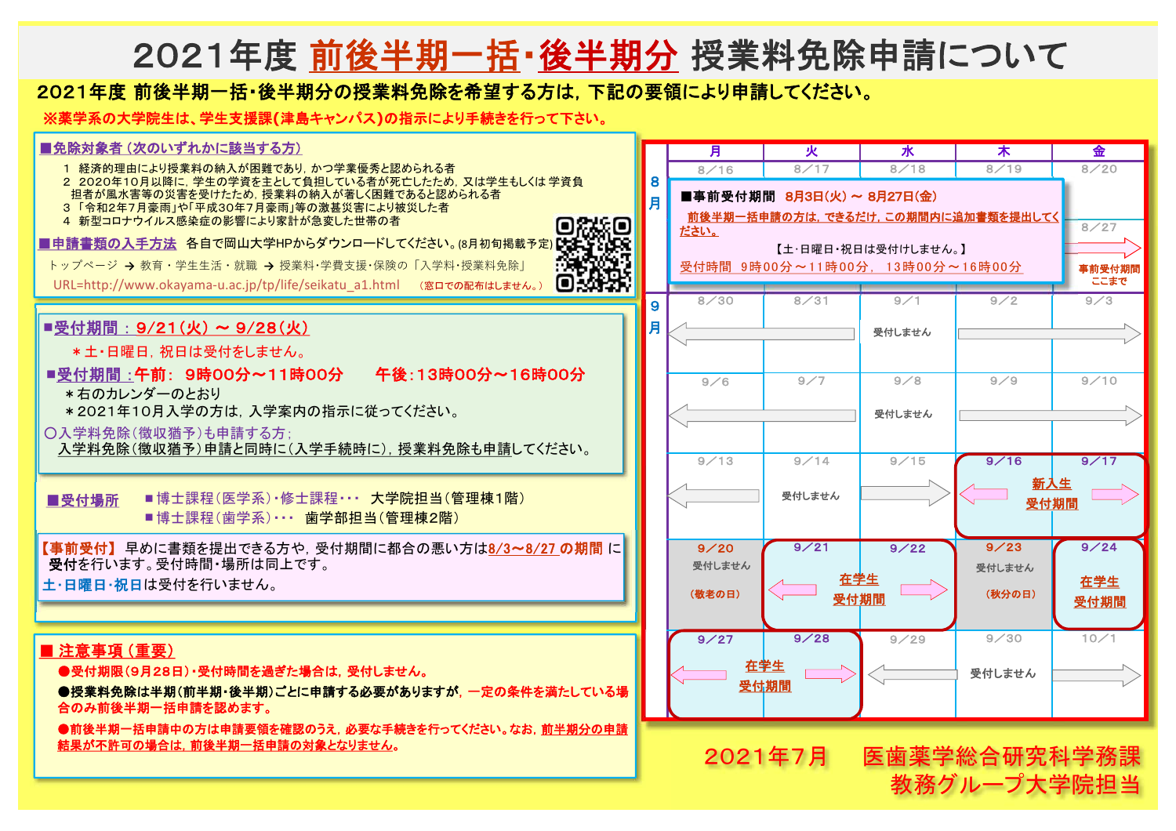## 2021年度 前後半期一括・後半期分 授業料免除申請について

## 2021年度 前後半期一括・後半期分の授業料免除を希望する方は, 下記の要領により申請してください。

※薬学系の大学院生は、学生支援課**(**津島キャンパス**)**の指示により手続きを行って下さい。